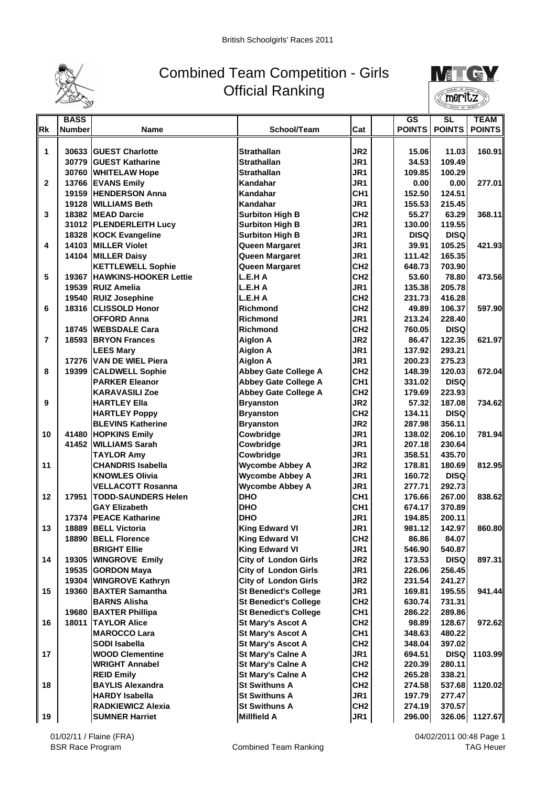

## Combined Team Competition - Girls Official Ranking



|              | <b>BASS</b>   |                                                 |                              |                                    | <b>GS</b>     | <b>SL</b>             | <b>TEAM</b>    |
|--------------|---------------|-------------------------------------------------|------------------------------|------------------------------------|---------------|-----------------------|----------------|
| <b>Rk</b>    | <b>Number</b> | Name                                            | School/Team                  | Cat                                | <b>POINTS</b> | <b>POINTS</b>         | <b>POINTS</b>  |
|              |               |                                                 |                              |                                    |               |                       |                |
| 1            |               | 30633 IGUEST Charlotte                          | <b>Strathallan</b>           | JR <sub>2</sub>                    | 15.06         | 11.03                 | 160.91         |
|              |               | 30779 IGUEST Katharine                          | <b>Strathallan</b>           | JR1                                | 34.53         | 109.49                |                |
|              |               | 30760 WHITELAW Hope                             | <b>Strathallan</b>           | JR1                                | 109.85        | 100.29                |                |
| $\mathbf{2}$ |               | 13766 EVANS Emily                               | Kandahar                     | JR1                                | 0.00          | 0.00                  | 277.01         |
|              |               | 19159 HENDERSON Anna                            | Kandahar                     | CH <sub>1</sub>                    | 152.50        | 124.51                |                |
|              |               | 19128 WILLIAMS Beth                             | Kandahar                     | JR1                                | 155.53        | 215.45                |                |
| 3            |               | 18382 MEAD Darcie                               | <b>Surbiton High B</b>       | CH <sub>2</sub>                    | 55.27         | 63.29                 | 368.11         |
|              |               | 31012 PLENDERLEITH Lucy                         | <b>Surbiton High B</b>       | JR1                                | 130.00        | 119.55                |                |
|              |               | 18328 KOCK Evangeline                           | <b>Surbiton High B</b>       | JR1                                | <b>DISQ</b>   | <b>DISQ</b>           |                |
| 4            |               | 14103 MILLER Violet                             | Queen Margaret               | JR1                                | 39.91         | 105.25                | 421.931        |
|              |               | 14104 MILLER Daisy                              | Queen Margaret               | JR1                                | 111.42        | 165.35                |                |
|              |               | <b>KETTLEWELL Sophie</b>                        | Queen Margaret               | CH <sub>2</sub>                    | 648.73        | 703.90                |                |
| 5            |               | 19367 HAWKINS-HOOKER Lettie                     | L.E.H A                      | CH <sub>2</sub>                    | 53.60         | 78.80                 | 473.56         |
|              |               | 19539 RUIZ Amelia                               | L.E.H A                      | JR1                                | 135.38        | 205.78                |                |
|              |               | 19540 RUIZ Josephine                            | L.E.H A                      | CH <sub>2</sub>                    | 231.73        | 416.28                |                |
| 6            |               | 18316 CLISSOLD Honor                            | <b>Richmond</b>              | CH <sub>2</sub>                    | 49.89         | 106.37                | 597.90         |
|              |               | <b>OFFORD Anna</b>                              | <b>Richmond</b>              | JR1                                | 213.24        | 228.40                |                |
|              |               | 18745 WEBSDALE Cara                             | <b>Richmond</b>              | CH <sub>2</sub>                    | 760.05        | <b>DISQ</b>           |                |
| 7            |               | 18593 BRYON Frances                             | <b>Aiglon A</b>              | JR <sub>2</sub>                    | 86.47         | 122.35                | 621.97         |
|              |               | <b>LEES Mary</b>                                | <b>Aiglon A</b>              | JR1                                | 137.92        | 293.21                |                |
|              |               | 17276 VAN DE WIEL Piera                         | <b>Aiglon A</b>              | JR1                                | 200.23        | 275.23                |                |
| 8            | 19399         |                                                 | Abbey Gate College A         | CH <sub>2</sub>                    | 148.39        | 120.03                | 672.04         |
|              |               | <b>CALDWELL Sophie</b><br><b>PARKER Eleanor</b> | <b>Abbey Gate College A</b>  | CH <sub>1</sub>                    | 331.02        | <b>DISQ</b>           |                |
|              |               | <b>KARAVASILI Zoe</b>                           | <b>Abbey Gate College A</b>  | CH <sub>2</sub>                    | 179.69        | 223.93                |                |
|              |               |                                                 |                              | JR <sub>2</sub>                    |               |                       |                |
| 9            |               | <b>HARTLEY Ella</b>                             | <b>Bryanston</b>             |                                    | 57.32         | 187.08                | 734.621        |
|              |               | <b>HARTLEY Poppy</b>                            | <b>Bryanston</b>             | CH <sub>2</sub><br>JR <sub>2</sub> | 134.11        | <b>DISQ</b><br>356.11 |                |
|              |               | <b>BLEVINS Katherine</b>                        | <b>Bryanston</b>             | JR1                                | 287.98        | 206.10                |                |
| 10           |               | 41480 HOPKINS Emily                             | Cowbridge                    |                                    | 138.02        |                       | 781.94         |
|              |               | 41452 WILLIAMS Sarah                            | Cowbridge                    | JR1                                | 207.18        | 230.64                |                |
|              |               | <b>TAYLOR Amy</b>                               | Cowbridge                    | JR1                                | 358.51        | 435.70                |                |
| 11           |               | <b>CHANDRIS Isabella</b>                        | <b>Wycombe Abbey A</b>       | JR <sub>2</sub>                    | 178.81        | 180.69                | 812.95         |
|              |               | <b>KNOWLES Olivia</b>                           | <b>Wycombe Abbey A</b>       | JR1                                | 160.72        | <b>DISQ</b>           |                |
|              |               | <b>VELLACOTT Rosanna</b>                        | <b>Wycombe Abbey A</b>       | JR1                                | 277.71        | 292.73                |                |
| 12           | 17951         | <b>TODD-SAUNDERS Helen</b>                      | <b>DHO</b>                   | CH <sub>1</sub>                    | 176.66        | 267.00                | 838.62         |
|              |               | <b>GAY Elizabeth</b>                            | <b>DHO</b>                   | CH <sub>1</sub>                    | 674.17        | 370.89                |                |
|              | 17374         | <b>IPEACE Katharine</b>                         | <b>DHO</b>                   | JR1                                | 194.85        | 200.11                |                |
| 13           | 18889         | <b>BELL Victoria</b>                            | <b>King Edward VI</b>        | JR1                                | 981.12        | 142.97                | 860.80         |
|              |               | 18890 BELL Florence                             | <b>King Edward VI</b>        | CH2                                | 86.86         | 84.07                 |                |
|              |               | <b>BRIGHT Ellie</b>                             | <b>King Edward VI</b>        | JR1                                | 546.90        | 540.87                |                |
| 14           |               | 19305 WINGROVE Emily                            | <b>City of London Girls</b>  | JR <sub>2</sub>                    | 173.53        | <b>DISQ</b>           | 897.31         |
|              |               | 19535 GORDON Maya                               | <b>City of London Girls</b>  | JR1                                | 226.06        | 256.45                |                |
|              |               | 19304 WINGROVE Kathryn                          | City of London Girls         | JR2                                | 231.54        | 241.27                |                |
| 15           |               | 19360 BAXTER Samantha                           | <b>St Benedict's College</b> | JR1                                | 169.81        | 195.55                | 941.44         |
|              |               | <b>BARNS Alisha</b>                             | <b>St Benedict's College</b> | CH <sub>2</sub>                    | 630.74        | 731.31                |                |
|              | 19680         | <b>BAXTER Phillipa</b>                          | <b>St Benedict's College</b> | CH1                                | 286.22        | 289.86                |                |
| 16           | 18011         | <b>TAYLOR Alice</b>                             | <b>St Mary's Ascot A</b>     | CH <sub>2</sub>                    | 98.89         | 128.67                | 972.62         |
|              |               | <b>MAROCCO Lara</b>                             | <b>St Mary's Ascot A</b>     | CH <sub>1</sub>                    | 348.63        | 480.22                |                |
|              |               | <b>SODI Isabella</b>                            | <b>St Mary's Ascot A</b>     | CH <sub>2</sub>                    | 348.04        | 397.02                |                |
| 17           |               | <b>WOOD Clementine</b>                          | <b>St Mary's Calne A</b>     | JR1                                | 694.51        | <b>DISQ</b>           | 1103.99        |
|              |               | <b>WRIGHT Annabel</b>                           | <b>St Mary's Calne A</b>     | CH <sub>2</sub>                    | 220.39        | 280.11                |                |
|              |               | <b>REID Emily</b>                               | <b>St Mary's Calne A</b>     | CH <sub>2</sub>                    | 265.28        | 338.21                |                |
| 18           |               | <b>BAYLIS Alexandra</b>                         | <b>St Swithuns A</b>         | CH <sub>2</sub>                    | 274.58        | 537.68                | 1120.02        |
|              |               | <b>HARDY Isabella</b>                           | <b>St Swithuns A</b>         | JR1                                | 197.79        | 277.47                |                |
|              |               | <b>RADKIEWICZ Alexia</b>                        | <b>St Swithuns A</b>         | CH <sub>2</sub>                    | 274.19        | 370.57                |                |
| 19           |               | <b>SUMNER Harriet</b>                           | <b>Millfield A</b>           | JR1                                | 296.00        |                       | 326.06 1127.67 |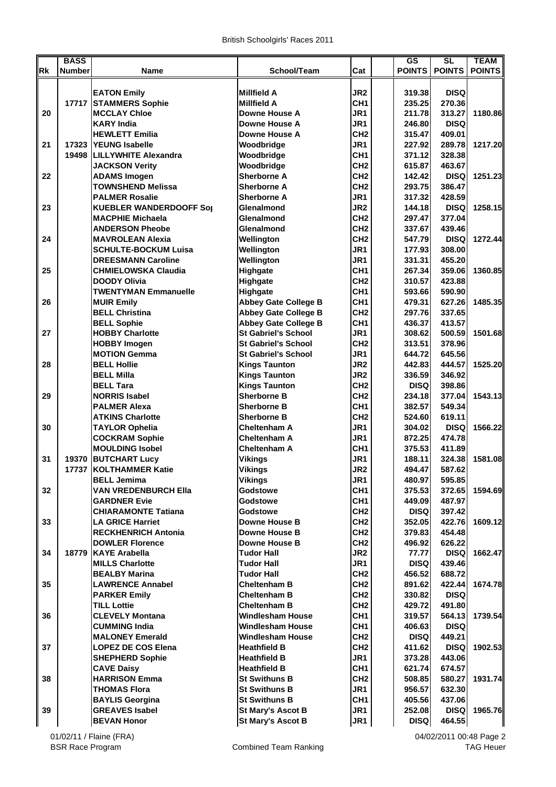|           | <b>BASS</b>   |                                                      |                                                            |                                    | <b>GS</b>            | SL                    | <b>TEAM</b>   |
|-----------|---------------|------------------------------------------------------|------------------------------------------------------------|------------------------------------|----------------------|-----------------------|---------------|
| <b>Rk</b> | <b>Number</b> | Name                                                 | School/Team                                                | Cat                                |                      | <b>POINTS POINTS</b>  | <b>POINTS</b> |
|           |               | <b>EATON Emily</b>                                   | <b>Millfield A</b>                                         | JR <sub>2</sub>                    | 319.38               | <b>DISQ</b>           |               |
|           |               | 17717 STAMMERS Sophie                                | <b>Millfield A</b>                                         | CH <sub>1</sub>                    | 235.25               | 270.36                |               |
| 20        |               | <b>MCCLAY Chloe</b>                                  | Downe House A                                              | JR1                                | 211.78               | 313.27                | 1180.86       |
|           |               | <b>KARY India</b>                                    | Downe House A                                              | JR1                                | 246.80               | <b>DISQ</b>           |               |
|           |               | <b>HEWLETT Emilia</b>                                | Downe House A                                              | CH <sub>2</sub>                    | 315.47               | 409.01                |               |
| 21        |               | 17323 YEUNG Isabelle                                 | Woodbridge                                                 | JR <sub>1</sub>                    | 227.92               | 289.78                | 1217.20       |
|           |               | 19498 ILILLYWHITE Alexandra                          | Woodbridge                                                 | CH <sub>1</sub>                    | 371.12               | 328.38                |               |
|           |               | <b>JACKSON Verity</b>                                | Woodbridge                                                 | CH <sub>2</sub>                    | 615.87               | 463.67                |               |
| 22        |               | <b>ADAMS Imogen</b>                                  | <b>Sherborne A</b>                                         | CH <sub>2</sub>                    | 142.42               | <b>DISQ</b>           | 1251.23       |
|           |               | <b>TOWNSHEND Melissa</b>                             | <b>Sherborne A</b>                                         | CH <sub>2</sub>                    | 293.75               | 386.47                |               |
|           |               | <b>PALMER Rosalie</b>                                | Sherborne A                                                | JR1                                | 317.32               | 428.59                |               |
| 23        |               | <b>KUEBLER WANDERDOOFF Sol</b>                       | Glenalmond                                                 | JR <sub>2</sub>                    | 144.18               | <b>DISQ</b>           | 1258.15       |
|           |               | <b>IMACPHIE Michaela</b>                             | Glenalmond                                                 | CH <sub>2</sub>                    | 297.47               | 377.04                |               |
|           |               | <b>ANDERSON Pheobe</b>                               | Glenalmond                                                 | CH <sub>2</sub>                    | 337.67               | 439.46                |               |
| 24        |               | <b>MAVROLEAN Alexia</b>                              | Wellington                                                 | CH <sub>2</sub>                    | 547.79               | <b>DISQ</b>           | 1272.44       |
|           |               | <b>SCHULTE-BOCKUM Luisa</b>                          | Wellington                                                 | JR <sub>1</sub>                    | 177.93               | 308.00                |               |
|           |               | <b>DREESMANN Caroline</b>                            | Wellington                                                 | JR1                                | 331.31               | 455.20                |               |
| 25        |               | <b>CHMIELOWSKA Claudia</b>                           | Highgate                                                   | CH <sub>1</sub>                    | 267.34               | 359.06                | 1360.85       |
|           |               | <b>DOODY Olivia</b>                                  | Highgate                                                   | CH <sub>2</sub>                    | 310.57               | 423.88                |               |
| 26        |               | <b>TWENTYMAN Emmanuelle</b><br><b>MUIR Emily</b>     | Highgate                                                   | CH <sub>1</sub><br>CH <sub>1</sub> | 593.66               | 590.90                |               |
|           |               | <b>BELL Christina</b>                                | <b>Abbey Gate College B</b><br><b>Abbey Gate College B</b> | CH <sub>2</sub>                    | 479.31<br>297.76     | 627.26<br>337.65      | 1485.35       |
|           |               | <b>BELL Sophie</b>                                   | <b>Abbey Gate College B</b>                                | CH <sub>1</sub>                    | 436.37               | 413.57                |               |
| 27        |               | <b>HOBBY Charlotte</b>                               | <b>St Gabriel's School</b>                                 | JR <sub>1</sub>                    | 308.62               | 500.59                | 1501.68       |
|           |               | <b>HOBBY Imogen</b>                                  | <b>St Gabriel's School</b>                                 | CH <sub>2</sub>                    | 313.51               | 378.96                |               |
|           |               | <b>MOTION Gemma</b>                                  | <b>St Gabriel's School</b>                                 | JR <sub>1</sub>                    | 644.72               | 645.56                |               |
| 28        |               | <b>BELL Hollie</b>                                   | <b>Kings Taunton</b>                                       | JR <sub>2</sub>                    | 442.83               | 444.57                | 1525.20       |
|           |               | <b>BELL Milla</b>                                    | <b>Kings Taunton</b>                                       | JR <sub>2</sub>                    | 336.59               | 346.92                |               |
|           |               | <b>BELL Tara</b>                                     | <b>Kings Taunton</b>                                       | CH <sub>2</sub>                    | <b>DISQ</b>          | 398.86                |               |
| 29        |               | <b>NORRIS Isabel</b>                                 | <b>Sherborne B</b>                                         | CH <sub>2</sub>                    | 234.18               | 377.04                | 1543.13       |
|           |               | <b>PALMER Alexa</b>                                  | <b>Sherborne B</b>                                         | CH <sub>1</sub>                    | 382.57               | 549.34                |               |
|           |               | <b>ATKINS Charlotte</b>                              | <b>Sherborne B</b>                                         | CH <sub>2</sub>                    | 524.60               | 619.11                |               |
| 30        |               | <b>TAYLOR Ophelia</b>                                | <b>Cheltenham A</b>                                        | JR1                                | 304.02               | <b>DISQ</b>           | 1566.22       |
|           |               | <b>COCKRAM Sophie</b>                                | <b>Cheltenham A</b>                                        | JR1                                | 872.25               | 474.78                |               |
|           |               | <b>MOULDING Isobel</b>                               | <b>Cheltenham A</b>                                        | CH <sub>1</sub>                    | 375.53               | 411.89                |               |
| 31        |               | 19370 BUTCHART Lucy                                  | Vikings                                                    | JR <sub>1</sub>                    | 188.11               | 324.38                | 1581.08       |
|           |               | 17737 KOLTHAMMER Katie                               | <b>Vikings</b>                                             | JR <sub>2</sub>                    | 494.47               | 587.62                |               |
|           |               | <b>BELL Jemima</b>                                   | <b>Vikings</b>                                             | JR <sub>1</sub>                    | 480.97               | 595.85                |               |
| 32        |               | <b>VAN VREDENBURCH Ella</b>                          | Godstowe                                                   | CH <sub>1</sub>                    | 375.53               | 372.65                | 1594.69       |
|           |               | <b>GARDNER Evie</b>                                  | <b>Godstowe</b>                                            | CH <sub>1</sub>                    | 449.09               | 487.97                |               |
|           |               | <b>CHIARAMONTE Tatiana</b>                           | Godstowe                                                   | CH <sub>2</sub>                    | <b>DISQ</b>          | 397.42                |               |
| 33        |               | <b>LA GRICE Harriet</b>                              | <b>Downe House B</b>                                       | CH <sub>2</sub>                    | 352.05               | 422.76                | 1609.12       |
|           |               | <b>RECKHENRICH Antonia</b><br><b>DOWLER Florence</b> | <b>Downe House B</b><br><b>Downe House B</b>               | CH <sub>2</sub>                    | 379.83               | 454.48                |               |
| 34        | 18779         | <b>KAYE Arabella</b>                                 | <b>Tudor Hall</b>                                          | CH <sub>2</sub><br>JR <sub>2</sub> | 496.92               | 626.22<br><b>DISQ</b> | 1662.47       |
|           |               | <b>MILLS Charlotte</b>                               | <b>Tudor Hall</b>                                          | JR1                                | 77.77<br><b>DISQ</b> | 439.46                |               |
|           |               | <b>BEALBY Marina</b>                                 | <b>Tudor Hall</b>                                          | CH <sub>2</sub>                    | 456.52               | 688.72                |               |
| 35        |               | <b>LAWRENCE Annabel</b>                              | <b>Cheltenham B</b>                                        | CH <sub>2</sub>                    | 891.62               | 422.44                | 1674.78       |
|           |               | <b>PARKER Emily</b>                                  | <b>Cheltenham B</b>                                        | CH <sub>2</sub>                    | 330.82               | <b>DISQ</b>           |               |
|           |               | <b>TILL Lottie</b>                                   | <b>Cheltenham B</b>                                        | CH <sub>2</sub>                    | 429.72               | 491.80                |               |
| 36        |               | <b>CLEVELY Montana</b>                               | Windlesham House                                           | CH <sub>1</sub>                    | 319.57               | 564.13                | 1739.54       |
|           |               | <b>CUMMING India</b>                                 | <b>Windlesham House</b>                                    | CH <sub>1</sub>                    | 406.63               | <b>DISQ</b>           |               |
|           |               | <b>MALONEY Emerald</b>                               | <b>Windlesham House</b>                                    | CH <sub>2</sub>                    | <b>DISQ</b>          | 449.21                |               |
| 37        |               | <b>LOPEZ DE COS Elena</b>                            | <b>Heathfield B</b>                                        | CH <sub>2</sub>                    | 411.62               | <b>DISQ</b>           | 1902.53       |
|           |               | <b>SHEPHERD Sophie</b>                               | <b>Heathfield B</b>                                        | JR1                                | 373.28               | 443.06                |               |
|           |               | <b>CAVE Daisy</b>                                    | <b>Heathfield B</b>                                        | CH <sub>1</sub>                    | 621.74               | 674.57                |               |
| 38        |               | <b>HARRISON Emma</b>                                 | <b>St Swithuns B</b>                                       | CH <sub>2</sub>                    | 508.85               | 580.27                | 1931.74       |
|           |               | <b>THOMAS Flora</b>                                  | <b>St Swithuns B</b>                                       | JR1                                | 956.57               | 632.30                |               |
|           |               | <b>BAYLIS Georgina</b>                               | <b>St Swithuns B</b>                                       | CH <sub>1</sub>                    | 405.56               | 437.06                |               |
| 39        |               | <b>GREAVES Isabel</b>                                | <b>St Mary's Ascot B</b>                                   | JR1                                | 252.08               | <b>DISQ</b>           | 1965.76       |
|           |               | <b>BEVAN Honor</b>                                   | <b>St Mary's Ascot B</b>                                   | JR1                                | <b>DISQ</b>          | 464.55                |               |